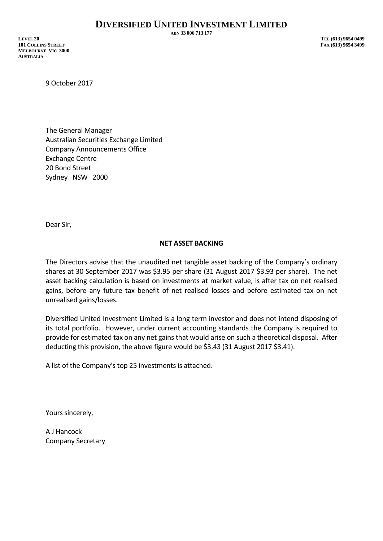**ABN 33 006 713 177**

**LEVEL 20 TEL (613) 9654 0499 101 COLLINS STREET FAX (613) 9654 3499 MELBOURNE VIC 3000 AUSTRALIA**

9 October 2017

The General Manager Australian Securities Exchange Limited Company Announcements Office Exchange Centre 20 Bond Street Sydney NSW 2000

Dear Sir,

## **NET ASSET BACKING**

The Directors advise that the unaudited net tangible asset backing of the Company's ordinary shares at 30 September 2017 was \$3.95 per share (31 August 2017 \$3.93 per share). The net asset backing calculation is based on investments at market value, is after tax on net realised gains, before any future tax benefit of net realised losses and before estimated tax on net unrealised gains/losses.

Diversified United Investment Limited is a long term investor and does not intend disposing of its total portfolio. However, under current accounting standards the Company is required to provide for estimated tax on any net gains that would arise on such a theoretical disposal. After deducting this provision, the above figure would be \$3.43 (31 August 2017 \$3.41).

A list of the Company's top 25 investments is attached.

Yours sincerely,

A J Hancock Company Secretary